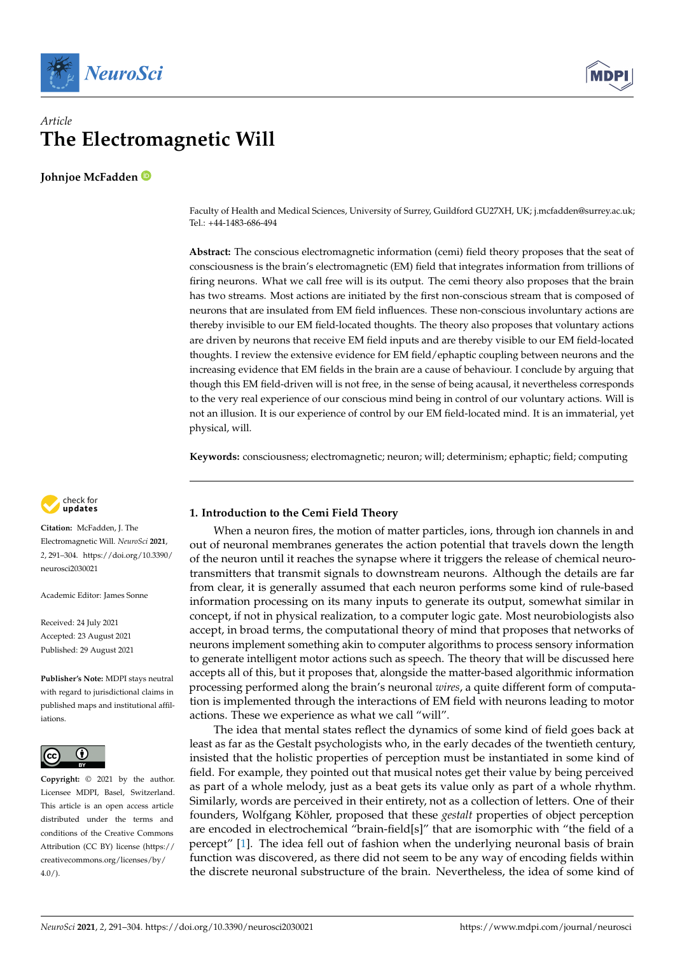



# *Article* **The Electromagnetic Will**

**Johnjoe McFadden**

Faculty of Health and Medical Sciences, University of Surrey, Guildford GU27XH, UK; j.mcfadden@surrey.ac.uk; Tel.: +44-1483-686-494

**Abstract:** The conscious electromagnetic information (cemi) field theory proposes that the seat of consciousness is the brain's electromagnetic (EM) field that integrates information from trillions of firing neurons. What we call free will is its output. The cemi theory also proposes that the brain has two streams. Most actions are initiated by the first non-conscious stream that is composed of neurons that are insulated from EM field influences. These non-conscious involuntary actions are thereby invisible to our EM field-located thoughts. The theory also proposes that voluntary actions are driven by neurons that receive EM field inputs and are thereby visible to our EM field-located thoughts. I review the extensive evidence for EM field/ephaptic coupling between neurons and the increasing evidence that EM fields in the brain are a cause of behaviour. I conclude by arguing that though this EM field-driven will is not free, in the sense of being acausal, it nevertheless corresponds to the very real experience of our conscious mind being in control of our voluntary actions. Will is not an illusion. It is our experience of control by our EM field-located mind. It is an immaterial, yet physical, will.

**Keywords:** consciousness; electromagnetic; neuron; will; determinism; ephaptic; field; computing



**Citation:** McFadden, J. The Electromagnetic Will. *NeuroSci* **2021**, *2*, 291–304. [https://doi.org/10.3390/](https://doi.org/10.3390/neurosci2030021) [neurosci2030021](https://doi.org/10.3390/neurosci2030021)

Academic Editor: James Sonne

Received: 24 July 2021 Accepted: 23 August 2021 Published: 29 August 2021

**Publisher's Note:** MDPI stays neutral with regard to jurisdictional claims in published maps and institutional affiliations.



**Copyright:** © 2021 by the author. Licensee MDPI, Basel, Switzerland. This article is an open access article distributed under the terms and conditions of the Creative Commons Attribution (CC BY) license (https:/[/](https://creativecommons.org/licenses/by/4.0/) [creativecommons.org/licenses/by/](https://creativecommons.org/licenses/by/4.0/)  $4.0/$ ).

# **1. Introduction to the Cemi Field Theory**

When a neuron fires, the motion of matter particles, ions, through ion channels in and out of neuronal membranes generates the action potential that travels down the length of the neuron until it reaches the synapse where it triggers the release of chemical neurotransmitters that transmit signals to downstream neurons. Although the details are far from clear, it is generally assumed that each neuron performs some kind of rule-based information processing on its many inputs to generate its output, somewhat similar in concept, if not in physical realization, to a computer logic gate. Most neurobiologists also accept, in broad terms, the computational theory of mind that proposes that networks of neurons implement something akin to computer algorithms to process sensory information to generate intelligent motor actions such as speech. The theory that will be discussed here accepts all of this, but it proposes that, alongside the matter-based algorithmic information processing performed along the brain's neuronal *wires*, a quite different form of computation is implemented through the interactions of EM field with neurons leading to motor actions. These we experience as what we call "will".

The idea that mental states reflect the dynamics of some kind of field goes back at least as far as the Gestalt psychologists who, in the early decades of the twentieth century, insisted that the holistic properties of perception must be instantiated in some kind of field. For example, they pointed out that musical notes get their value by being perceived as part of a whole melody, just as a beat gets its value only as part of a whole rhythm. Similarly, words are perceived in their entirety, not as a collection of letters. One of their founders, Wolfgang Köhler, proposed that these *gestalt* properties of object perception are encoded in electrochemical "brain-field[s]" that are isomorphic with "the field of a percept" [\[1\]](#page-11-0). The idea fell out of fashion when the underlying neuronal basis of brain function was discovered, as there did not seem to be any way of encoding fields within the discrete neuronal substructure of the brain. Nevertheless, the idea of some kind of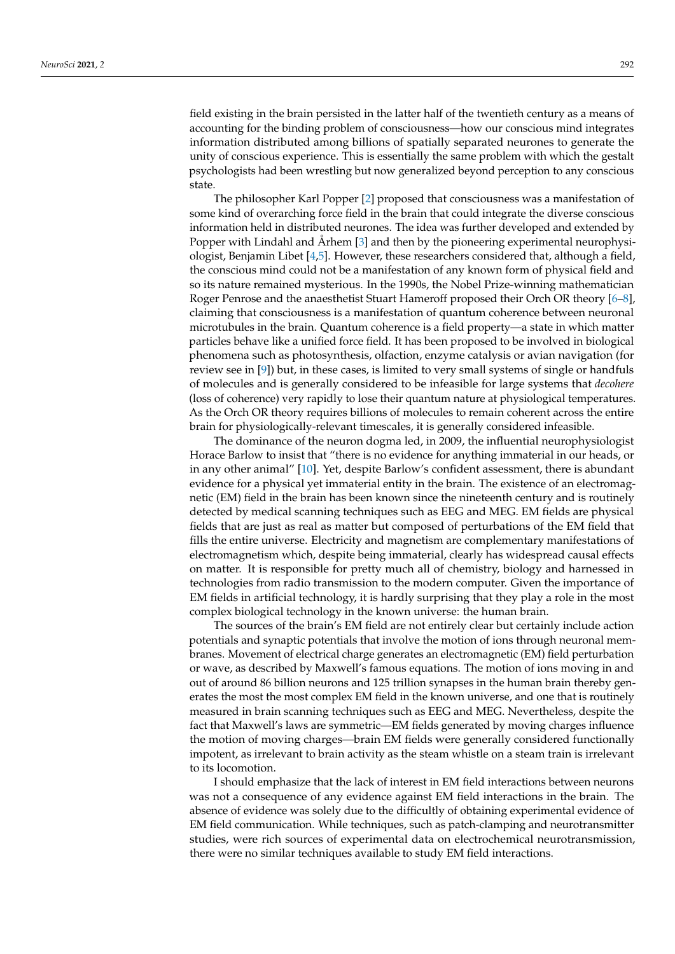field existing in the brain persisted in the latter half of the twentieth century as a means of accounting for the binding problem of consciousness—how our conscious mind integrates information distributed among billions of spatially separated neurones to generate the unity of conscious experience. This is essentially the same problem with which the gestalt psychologists had been wrestling but now generalized beyond perception to any conscious state.

The philosopher Karl Popper [\[2\]](#page-11-1) proposed that consciousness was a manifestation of some kind of overarching force field in the brain that could integrate the diverse conscious information held in distributed neurones. The idea was further developed and extended by Popper with Lindahl and Århem [\[3\]](#page-11-2) and then by the pioneering experimental neurophysiologist, Benjamin Libet [\[4](#page-11-3)[,5\]](#page-11-4). However, these researchers considered that, although a field, the conscious mind could not be a manifestation of any known form of physical field and so its nature remained mysterious. In the 1990s, the Nobel Prize-winning mathematician Roger Penrose and the anaesthetist Stuart Hameroff proposed their Orch OR theory [\[6–](#page-11-5)[8\]](#page-11-6), claiming that consciousness is a manifestation of quantum coherence between neuronal microtubules in the brain. Quantum coherence is a field property—a state in which matter particles behave like a unified force field. It has been proposed to be involved in biological phenomena such as photosynthesis, olfaction, enzyme catalysis or avian navigation (for review see in [\[9\]](#page-11-7)) but, in these cases, is limited to very small systems of single or handfuls of molecules and is generally considered to be infeasible for large systems that *decohere* (loss of coherence) very rapidly to lose their quantum nature at physiological temperatures. As the Orch OR theory requires billions of molecules to remain coherent across the entire brain for physiologically-relevant timescales, it is generally considered infeasible.

The dominance of the neuron dogma led, in 2009, the influential neurophysiologist Horace Barlow to insist that "there is no evidence for anything immaterial in our heads, or in any other animal" [\[10\]](#page-11-8). Yet, despite Barlow's confident assessment, there is abundant evidence for a physical yet immaterial entity in the brain. The existence of an electromagnetic (EM) field in the brain has been known since the nineteenth century and is routinely detected by medical scanning techniques such as EEG and MEG. EM fields are physical fields that are just as real as matter but composed of perturbations of the EM field that fills the entire universe. Electricity and magnetism are complementary manifestations of electromagnetism which, despite being immaterial, clearly has widespread causal effects on matter. It is responsible for pretty much all of chemistry, biology and harnessed in technologies from radio transmission to the modern computer. Given the importance of EM fields in artificial technology, it is hardly surprising that they play a role in the most complex biological technology in the known universe: the human brain.

The sources of the brain's EM field are not entirely clear but certainly include action potentials and synaptic potentials that involve the motion of ions through neuronal membranes. Movement of electrical charge generates an electromagnetic (EM) field perturbation or wave, as described by Maxwell's famous equations. The motion of ions moving in and out of around 86 billion neurons and 125 trillion synapses in the human brain thereby generates the most the most complex EM field in the known universe, and one that is routinely measured in brain scanning techniques such as EEG and MEG. Nevertheless, despite the fact that Maxwell's laws are symmetric—EM fields generated by moving charges influence the motion of moving charges—brain EM fields were generally considered functionally impotent, as irrelevant to brain activity as the steam whistle on a steam train is irrelevant to its locomotion.

I should emphasize that the lack of interest in EM field interactions between neurons was not a consequence of any evidence against EM field interactions in the brain. The absence of evidence was solely due to the difficultly of obtaining experimental evidence of EM field communication. While techniques, such as patch-clamping and neurotransmitter studies, were rich sources of experimental data on electrochemical neurotransmission, there were no similar techniques available to study EM field interactions.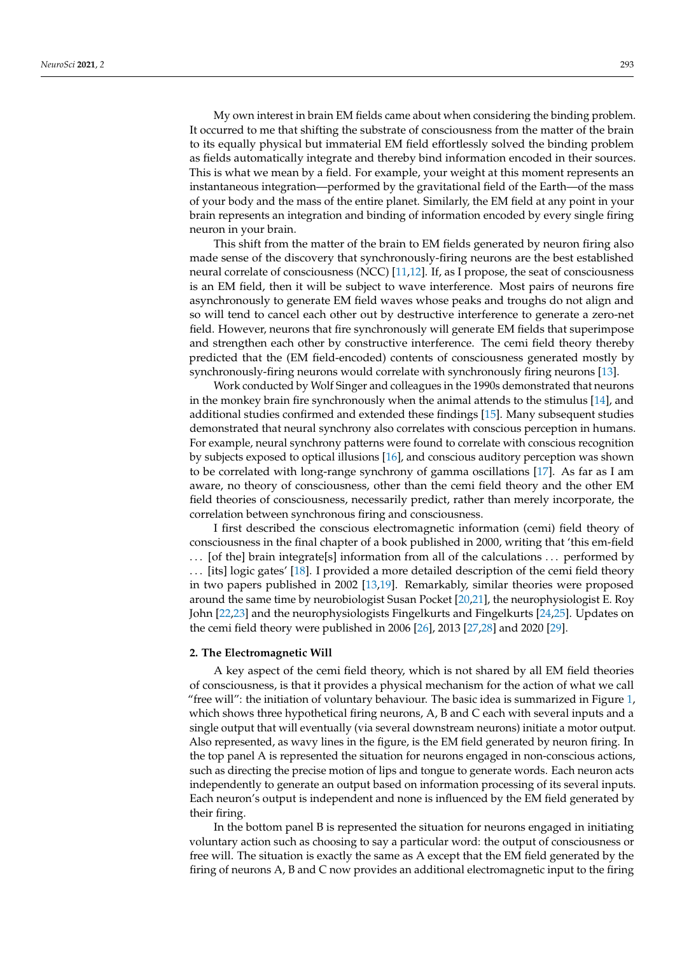My own interest in brain EM fields came about when considering the binding problem. It occurred to me that shifting the substrate of consciousness from the matter of the brain to its equally physical but immaterial EM field effortlessly solved the binding problem as fields automatically integrate and thereby bind information encoded in their sources. This is what we mean by a field. For example, your weight at this moment represents an instantaneous integration—performed by the gravitational field of the Earth—of the mass of your body and the mass of the entire planet. Similarly, the EM field at any point in your brain represents an integration and binding of information encoded by every single firing neuron in your brain.

This shift from the matter of the brain to EM fields generated by neuron firing also made sense of the discovery that synchronously-firing neurons are the best established neural correlate of consciousness (NCC) [\[11,](#page-11-9)[12\]](#page-11-10). If, as I propose, the seat of consciousness is an EM field, then it will be subject to wave interference. Most pairs of neurons fire asynchronously to generate EM field waves whose peaks and troughs do not align and so will tend to cancel each other out by destructive interference to generate a zero-net field. However, neurons that fire synchronously will generate EM fields that superimpose and strengthen each other by constructive interference. The cemi field theory thereby predicted that the (EM field-encoded) contents of consciousness generated mostly by synchronously-firing neurons would correlate with synchronously firing neurons [\[13\]](#page-11-11).

Work conducted by Wolf Singer and colleagues in the 1990s demonstrated that neurons in the monkey brain fire synchronously when the animal attends to the stimulus [\[14\]](#page-11-12), and additional studies confirmed and extended these findings [\[15\]](#page-11-13). Many subsequent studies demonstrated that neural synchrony also correlates with conscious perception in humans. For example, neural synchrony patterns were found to correlate with conscious recognition by subjects exposed to optical illusions [\[16\]](#page-11-14), and conscious auditory perception was shown to be correlated with long-range synchrony of gamma oscillations [\[17\]](#page-11-15). As far as I am aware, no theory of consciousness, other than the cemi field theory and the other EM field theories of consciousness, necessarily predict, rather than merely incorporate, the correlation between synchronous firing and consciousness.

I first described the conscious electromagnetic information (cemi) field theory of consciousness in the final chapter of a book published in 2000, writing that 'this em-field ... [of the] brain integrate[s] information from all of the calculations ... performed by . . . [its] logic gates' [\[18\]](#page-11-16). I provided a more detailed description of the cemi field theory in two papers published in 2002 [\[13,](#page-11-11)[19\]](#page-11-17). Remarkably, similar theories were proposed around the same time by neurobiologist Susan Pocket [\[20](#page-11-18)[,21\]](#page-12-0), the neurophysiologist E. Roy John [\[22,](#page-12-1)[23\]](#page-12-2) and the neurophysiologists Fingelkurts and Fingelkurts [\[24](#page-12-3)[,25\]](#page-12-4). Updates on the cemi field theory were published in 2006 [\[26\]](#page-12-5), 2013 [\[27,](#page-12-6)[28\]](#page-12-7) and 2020 [\[29\]](#page-12-8).

#### **2. The Electromagnetic Will**

A key aspect of the cemi field theory, which is not shared by all EM field theories of consciousness, is that it provides a physical mechanism for the action of what we call "free will": the initiation of voluntary behaviour. The basic idea is summarized in Figure [1,](#page-3-0) which shows three hypothetical firing neurons, A, B and C each with several inputs and a single output that will eventually (via several downstream neurons) initiate a motor output. Also represented, as wavy lines in the figure, is the EM field generated by neuron firing. In the top panel A is represented the situation for neurons engaged in non-conscious actions, such as directing the precise motion of lips and tongue to generate words. Each neuron acts independently to generate an output based on information processing of its several inputs. Each neuron's output is independent and none is influenced by the EM field generated by their firing.

In the bottom panel B is represented the situation for neurons engaged in initiating voluntary action such as choosing to say a particular word: the output of consciousness or free will. The situation is exactly the same as A except that the EM field generated by the firing of neurons A, B and C now provides an additional electromagnetic input to the firing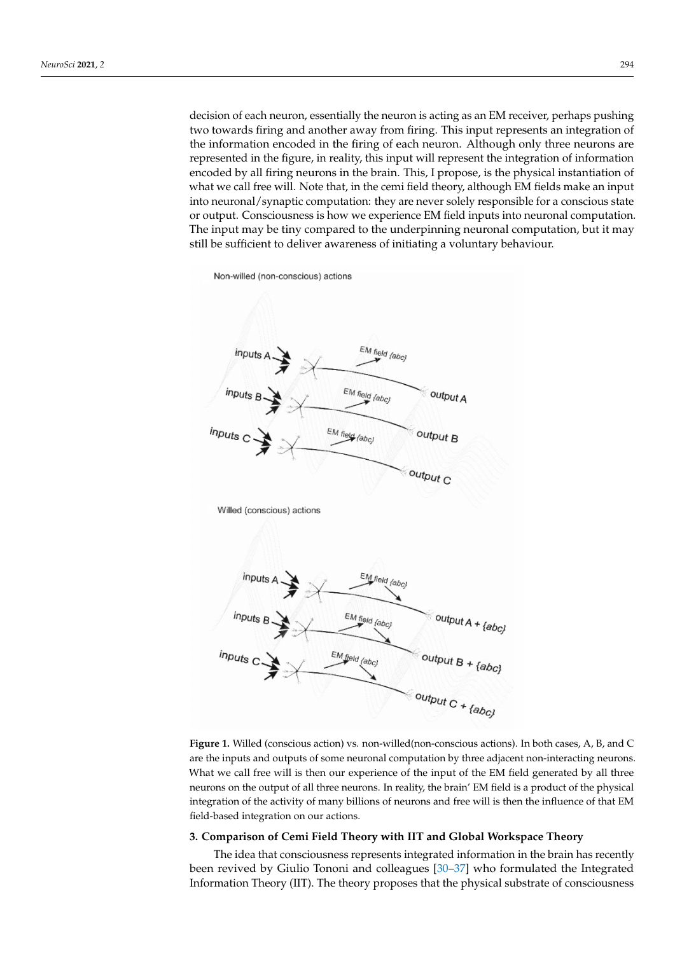decision of each neuron, essentially the neuron is acting as an EM receiver, perhaps pushing two towards firing and another away from firing. This input represents an integration of the information encoded in the firing of each neuron. Although only three neurons are represented in the figure, in reality, this input will represent the integration of information encoded by all firing neurons in the brain. This, I propose, is the physical instantiation of what we call free will. Note that, in the cemi field theory, although EM fields make an input into neuronal/synaptic computation: they are never solely responsible for a conscious state or output. Consciousness is how we experience EM field inputs into neuronal computation. The input may be tiny compared to the underpinning neuronal computation, but it may still be sufficient to deliver awareness of initiating a voluntary behaviour.

<span id="page-3-0"></span>

**Figure 1.** Willed (conscious action) vs. non-willed(non-conscious actions). In both cases, A, B, and C are the inputs and outputs of some neuronal computation by three adjacent non-interacting neurons. What we call free will is then our experience of the input of the EM field generated by all three neurons on the output of all three neurons. In reality, the brain' EM field is a product of the physical integration of the activity of many billions of neurons and free will is then the influence of that EM field-based integration on our actions.

### **3. Comparison of Cemi Field Theory with IIT and Global Workspace Theory**

The idea that consciousness represents integrated information in the brain has recently been revived by Giulio Tononi and colleagues [\[30–](#page-12-9)[37\]](#page-12-10) who formulated the Integrated Information Theory (IIT). The theory proposes that the physical substrate of consciousness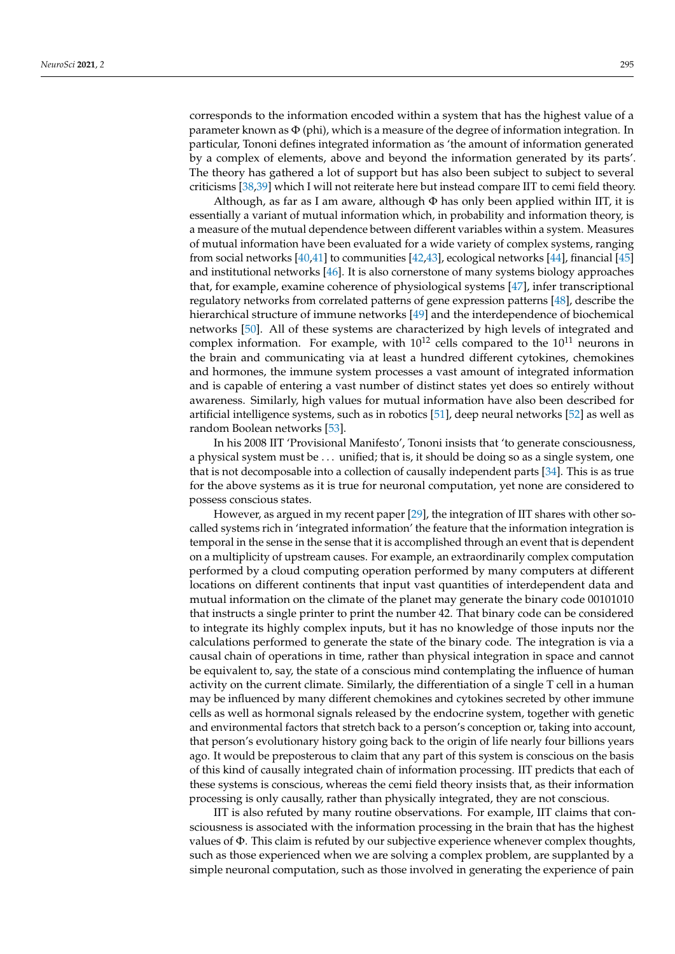corresponds to the information encoded within a system that has the highest value of a parameter known as  $\Phi$  (phi), which is a measure of the degree of information integration. In particular, Tononi defines integrated information as 'the amount of information generated by a complex of elements, above and beyond the information generated by its parts'. The theory has gathered a lot of support but has also been subject to subject to several criticisms [\[38](#page-12-11)[,39\]](#page-12-12) which I will not reiterate here but instead compare IIT to cemi field theory.

Although, as far as I am aware, although  $\Phi$  has only been applied within IIT, it is essentially a variant of mutual information which, in probability and information theory, is a measure of the mutual dependence between different variables within a system. Measures of mutual information have been evaluated for a wide variety of complex systems, ranging from social networks [\[40,](#page-12-13)[41\]](#page-12-14) to communities [\[42,](#page-12-15)[43\]](#page-12-16), ecological networks [\[44\]](#page-12-17), financial [\[45\]](#page-12-18) and institutional networks [\[46\]](#page-12-19). It is also cornerstone of many systems biology approaches that, for example, examine coherence of physiological systems [\[47\]](#page-12-20), infer transcriptional regulatory networks from correlated patterns of gene expression patterns [\[48\]](#page-12-21), describe the hierarchical structure of immune networks [\[49\]](#page-12-22) and the interdependence of biochemical networks [\[50\]](#page-12-23). All of these systems are characterized by high levels of integrated and complex information. For example, with  $10^{12}$  cells compared to the  $10^{11}$  neurons in the brain and communicating via at least a hundred different cytokines, chemokines and hormones, the immune system processes a vast amount of integrated information and is capable of entering a vast number of distinct states yet does so entirely without awareness. Similarly, high values for mutual information have also been described for artificial intelligence systems, such as in robotics [\[51\]](#page-12-24), deep neural networks [\[52\]](#page-12-25) as well as random Boolean networks [\[53\]](#page-12-26).

In his 2008 IIT 'Provisional Manifesto', Tononi insists that 'to generate consciousness, a physical system must be . . . unified; that is, it should be doing so as a single system, one that is not decomposable into a collection of causally independent parts [\[34\]](#page-12-27). This is as true for the above systems as it is true for neuronal computation, yet none are considered to possess conscious states.

However, as argued in my recent paper [\[29\]](#page-12-8), the integration of IIT shares with other socalled systems rich in 'integrated information' the feature that the information integration is temporal in the sense in the sense that it is accomplished through an event that is dependent on a multiplicity of upstream causes. For example, an extraordinarily complex computation performed by a cloud computing operation performed by many computers at different locations on different continents that input vast quantities of interdependent data and mutual information on the climate of the planet may generate the binary code 00101010 that instructs a single printer to print the number 42. That binary code can be considered to integrate its highly complex inputs, but it has no knowledge of those inputs nor the calculations performed to generate the state of the binary code. The integration is via a causal chain of operations in time, rather than physical integration in space and cannot be equivalent to, say, the state of a conscious mind contemplating the influence of human activity on the current climate. Similarly, the differentiation of a single T cell in a human may be influenced by many different chemokines and cytokines secreted by other immune cells as well as hormonal signals released by the endocrine system, together with genetic and environmental factors that stretch back to a person's conception or, taking into account, that person's evolutionary history going back to the origin of life nearly four billions years ago. It would be preposterous to claim that any part of this system is conscious on the basis of this kind of causally integrated chain of information processing. IIT predicts that each of these systems is conscious, whereas the cemi field theory insists that, as their information processing is only causally, rather than physically integrated, they are not conscious.

IIT is also refuted by many routine observations. For example, IIT claims that consciousness is associated with the information processing in the brain that has the highest values of Φ. This claim is refuted by our subjective experience whenever complex thoughts, such as those experienced when we are solving a complex problem, are supplanted by a simple neuronal computation, such as those involved in generating the experience of pain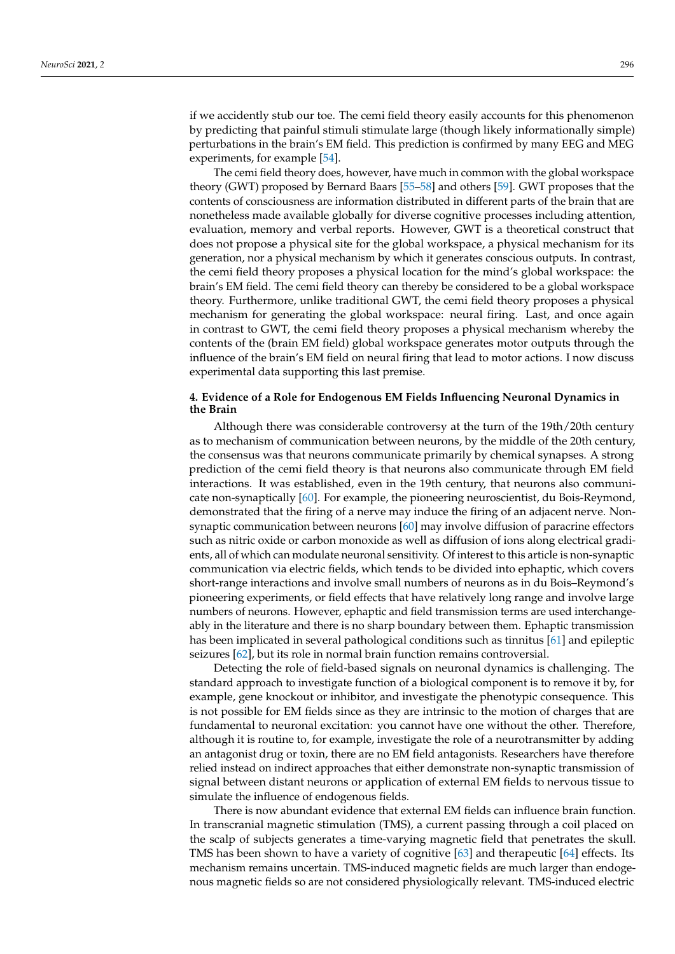if we accidently stub our toe. The cemi field theory easily accounts for this phenomenon by predicting that painful stimuli stimulate large (though likely informationally simple) perturbations in the brain's EM field. This prediction is confirmed by many EEG and MEG experiments, for example [\[54\]](#page-12-28).

The cemi field theory does, however, have much in common with the global workspace theory (GWT) proposed by Bernard Baars [\[55–](#page-12-29)[58\]](#page-13-0) and others [\[59\]](#page-13-1). GWT proposes that the contents of consciousness are information distributed in different parts of the brain that are nonetheless made available globally for diverse cognitive processes including attention, evaluation, memory and verbal reports. However, GWT is a theoretical construct that does not propose a physical site for the global workspace, a physical mechanism for its generation, nor a physical mechanism by which it generates conscious outputs. In contrast, the cemi field theory proposes a physical location for the mind's global workspace: the brain's EM field. The cemi field theory can thereby be considered to be a global workspace theory. Furthermore, unlike traditional GWT, the cemi field theory proposes a physical mechanism for generating the global workspace: neural firing. Last, and once again in contrast to GWT, the cemi field theory proposes a physical mechanism whereby the contents of the (brain EM field) global workspace generates motor outputs through the influence of the brain's EM field on neural firing that lead to motor actions. I now discuss experimental data supporting this last premise.

# **4. Evidence of a Role for Endogenous EM Fields Influencing Neuronal Dynamics in the Brain**

Although there was considerable controversy at the turn of the 19th/20th century as to mechanism of communication between neurons, by the middle of the 20th century, the consensus was that neurons communicate primarily by chemical synapses. A strong prediction of the cemi field theory is that neurons also communicate through EM field interactions. It was established, even in the 19th century, that neurons also communicate non-synaptically [\[60\]](#page-13-2). For example, the pioneering neuroscientist, du Bois-Reymond, demonstrated that the firing of a nerve may induce the firing of an adjacent nerve. Nonsynaptic communication between neurons [\[60\]](#page-13-2) may involve diffusion of paracrine effectors such as nitric oxide or carbon monoxide as well as diffusion of ions along electrical gradients, all of which can modulate neuronal sensitivity. Of interest to this article is non-synaptic communication via electric fields, which tends to be divided into ephaptic, which covers short-range interactions and involve small numbers of neurons as in du Bois–Reymond's pioneering experiments, or field effects that have relatively long range and involve large numbers of neurons. However, ephaptic and field transmission terms are used interchangeably in the literature and there is no sharp boundary between them. Ephaptic transmission has been implicated in several pathological conditions such as tinnitus [\[61\]](#page-13-3) and epileptic seizures [\[62\]](#page-13-4), but its role in normal brain function remains controversial.

Detecting the role of field-based signals on neuronal dynamics is challenging. The standard approach to investigate function of a biological component is to remove it by, for example, gene knockout or inhibitor, and investigate the phenotypic consequence. This is not possible for EM fields since as they are intrinsic to the motion of charges that are fundamental to neuronal excitation: you cannot have one without the other. Therefore, although it is routine to, for example, investigate the role of a neurotransmitter by adding an antagonist drug or toxin, there are no EM field antagonists. Researchers have therefore relied instead on indirect approaches that either demonstrate non-synaptic transmission of signal between distant neurons or application of external EM fields to nervous tissue to simulate the influence of endogenous fields.

There is now abundant evidence that external EM fields can influence brain function. In transcranial magnetic stimulation (TMS), a current passing through a coil placed on the scalp of subjects generates a time-varying magnetic field that penetrates the skull. TMS has been shown to have a variety of cognitive [\[63\]](#page-13-5) and therapeutic [\[64\]](#page-13-6) effects. Its mechanism remains uncertain. TMS-induced magnetic fields are much larger than endogenous magnetic fields so are not considered physiologically relevant. TMS-induced electric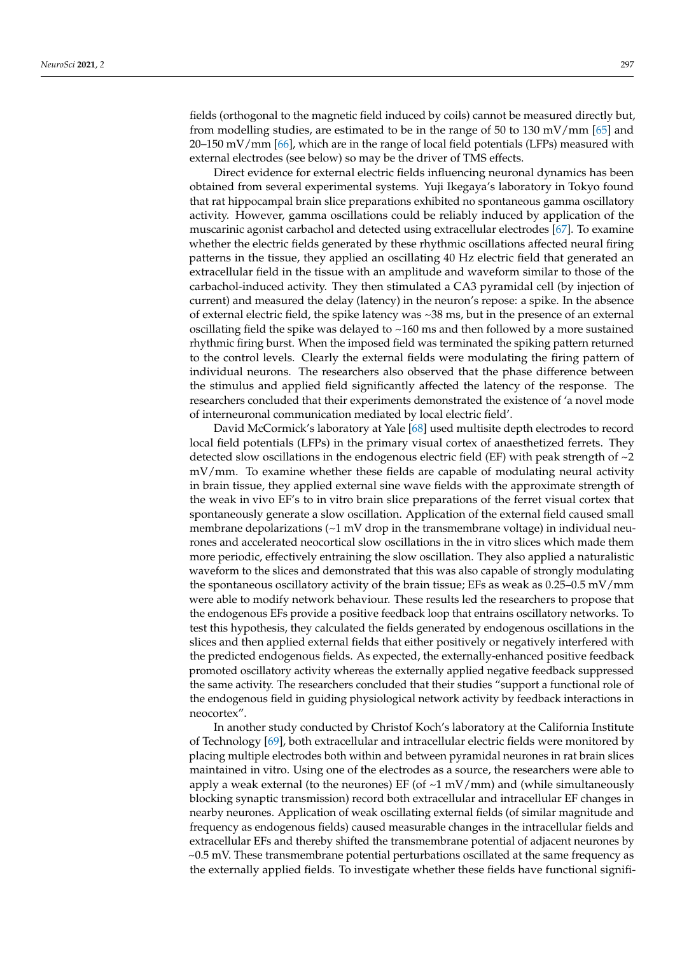fields (orthogonal to the magnetic field induced by coils) cannot be measured directly but, from modelling studies, are estimated to be in the range of 50 to 130 mV/mm [\[65\]](#page-13-7) and  $20-150$  mV/mm [\[66\]](#page-13-8), which are in the range of local field potentials (LFPs) measured with external electrodes (see below) so may be the driver of TMS effects.

Direct evidence for external electric fields influencing neuronal dynamics has been obtained from several experimental systems. Yuji Ikegaya's laboratory in Tokyo found that rat hippocampal brain slice preparations exhibited no spontaneous gamma oscillatory activity. However, gamma oscillations could be reliably induced by application of the muscarinic agonist carbachol and detected using extracellular electrodes [\[67\]](#page-13-9). To examine whether the electric fields generated by these rhythmic oscillations affected neural firing patterns in the tissue, they applied an oscillating 40 Hz electric field that generated an extracellular field in the tissue with an amplitude and waveform similar to those of the carbachol-induced activity. They then stimulated a CA3 pyramidal cell (by injection of current) and measured the delay (latency) in the neuron's repose: a spike. In the absence of external electric field, the spike latency was ~38 ms, but in the presence of an external oscillating field the spike was delayed to  $~160$  ms and then followed by a more sustained rhythmic firing burst. When the imposed field was terminated the spiking pattern returned to the control levels. Clearly the external fields were modulating the firing pattern of individual neurons. The researchers also observed that the phase difference between the stimulus and applied field significantly affected the latency of the response. The researchers concluded that their experiments demonstrated the existence of 'a novel mode of interneuronal communication mediated by local electric field'.

David McCormick's laboratory at Yale [\[68\]](#page-13-10) used multisite depth electrodes to record local field potentials (LFPs) in the primary visual cortex of anaesthetized ferrets. They detected slow oscillations in the endogenous electric field (EF) with peak strength of  $\sim$ 2 mV/mm. To examine whether these fields are capable of modulating neural activity in brain tissue, they applied external sine wave fields with the approximate strength of the weak in vivo EF's to in vitro brain slice preparations of the ferret visual cortex that spontaneously generate a slow oscillation. Application of the external field caused small membrane depolarizations  $\left(\sim1 \text{ mV} \right)$  drop in the transmembrane voltage) in individual neurones and accelerated neocortical slow oscillations in the in vitro slices which made them more periodic, effectively entraining the slow oscillation. They also applied a naturalistic waveform to the slices and demonstrated that this was also capable of strongly modulating the spontaneous oscillatory activity of the brain tissue; EFs as weak as 0.25–0.5 mV/mm were able to modify network behaviour. These results led the researchers to propose that the endogenous EFs provide a positive feedback loop that entrains oscillatory networks. To test this hypothesis, they calculated the fields generated by endogenous oscillations in the slices and then applied external fields that either positively or negatively interfered with the predicted endogenous fields. As expected, the externally-enhanced positive feedback promoted oscillatory activity whereas the externally applied negative feedback suppressed the same activity. The researchers concluded that their studies "support a functional role of the endogenous field in guiding physiological network activity by feedback interactions in neocortex".

In another study conducted by Christof Koch's laboratory at the California Institute of Technology [\[69\]](#page-13-11), both extracellular and intracellular electric fields were monitored by placing multiple electrodes both within and between pyramidal neurones in rat brain slices maintained in vitro. Using one of the electrodes as a source, the researchers were able to apply a weak external (to the neurones) EF (of  $\sim$ 1 mV/mm) and (while simultaneously blocking synaptic transmission) record both extracellular and intracellular EF changes in nearby neurones. Application of weak oscillating external fields (of similar magnitude and frequency as endogenous fields) caused measurable changes in the intracellular fields and extracellular EFs and thereby shifted the transmembrane potential of adjacent neurones by ~0.5 mV. These transmembrane potential perturbations oscillated at the same frequency as the externally applied fields. To investigate whether these fields have functional signifi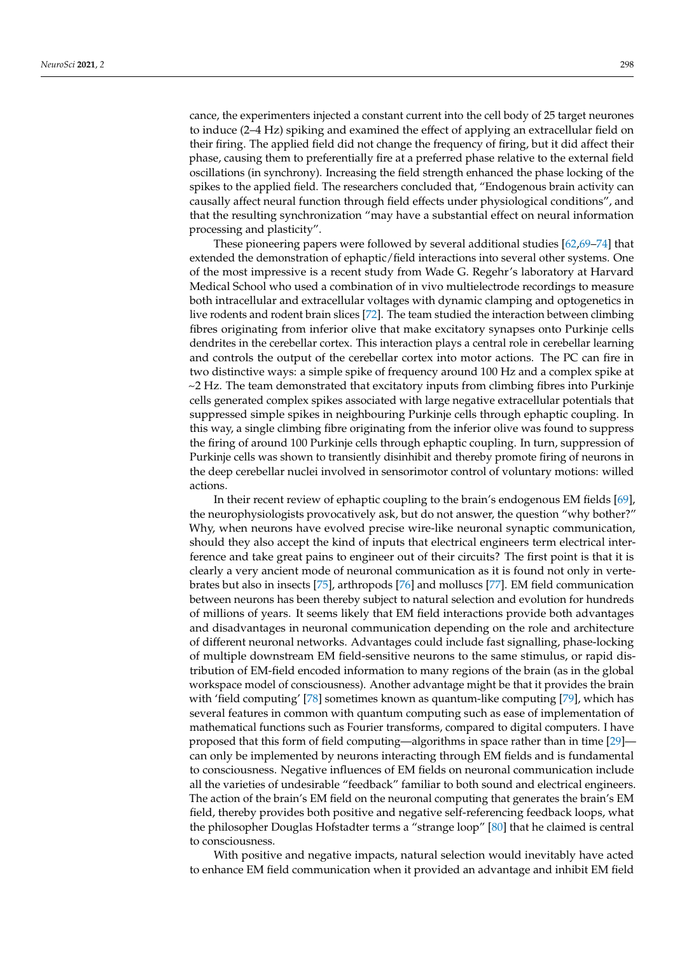cance, the experimenters injected a constant current into the cell body of 25 target neurones to induce (2–4 Hz) spiking and examined the effect of applying an extracellular field on their firing. The applied field did not change the frequency of firing, but it did affect their phase, causing them to preferentially fire at a preferred phase relative to the external field oscillations (in synchrony). Increasing the field strength enhanced the phase locking of the spikes to the applied field. The researchers concluded that, "Endogenous brain activity can causally affect neural function through field effects under physiological conditions", and that the resulting synchronization "may have a substantial effect on neural information processing and plasticity".

These pioneering papers were followed by several additional studies [\[62,](#page-13-4)[69](#page-13-11)[–74\]](#page-13-12) that extended the demonstration of ephaptic/field interactions into several other systems. One of the most impressive is a recent study from Wade G. Regehr's laboratory at Harvard Medical School who used a combination of in vivo multielectrode recordings to measure both intracellular and extracellular voltages with dynamic clamping and optogenetics in live rodents and rodent brain slices [\[72\]](#page-13-13). The team studied the interaction between climbing fibres originating from inferior olive that make excitatory synapses onto Purkinje cells dendrites in the cerebellar cortex. This interaction plays a central role in cerebellar learning and controls the output of the cerebellar cortex into motor actions. The PC can fire in two distinctive ways: a simple spike of frequency around 100 Hz and a complex spike at  $\sim$ 2 Hz. The team demonstrated that excitatory inputs from climbing fibres into Purkinje cells generated complex spikes associated with large negative extracellular potentials that suppressed simple spikes in neighbouring Purkinje cells through ephaptic coupling. In this way, a single climbing fibre originating from the inferior olive was found to suppress the firing of around 100 Purkinje cells through ephaptic coupling. In turn, suppression of Purkinje cells was shown to transiently disinhibit and thereby promote firing of neurons in the deep cerebellar nuclei involved in sensorimotor control of voluntary motions: willed actions.

In their recent review of ephaptic coupling to the brain's endogenous EM fields [\[69\]](#page-13-11), the neurophysiologists provocatively ask, but do not answer, the question "why bother?" Why, when neurons have evolved precise wire-like neuronal synaptic communication, should they also accept the kind of inputs that electrical engineers term electrical interference and take great pains to engineer out of their circuits? The first point is that it is clearly a very ancient mode of neuronal communication as it is found not only in vertebrates but also in insects [\[75\]](#page-13-14), arthropods [\[76\]](#page-13-15) and molluscs [\[77\]](#page-13-16). EM field communication between neurons has been thereby subject to natural selection and evolution for hundreds of millions of years. It seems likely that EM field interactions provide both advantages and disadvantages in neuronal communication depending on the role and architecture of different neuronal networks. Advantages could include fast signalling, phase-locking of multiple downstream EM field-sensitive neurons to the same stimulus, or rapid distribution of EM-field encoded information to many regions of the brain (as in the global workspace model of consciousness). Another advantage might be that it provides the brain with 'field computing' [\[78\]](#page-13-17) sometimes known as quantum-like computing [\[79\]](#page-13-18), which has several features in common with quantum computing such as ease of implementation of mathematical functions such as Fourier transforms, compared to digital computers. I have proposed that this form of field computing—algorithms in space rather than in time [\[29\]](#page-12-8) can only be implemented by neurons interacting through EM fields and is fundamental to consciousness. Negative influences of EM fields on neuronal communication include all the varieties of undesirable "feedback" familiar to both sound and electrical engineers. The action of the brain's EM field on the neuronal computing that generates the brain's EM field, thereby provides both positive and negative self-referencing feedback loops, what the philosopher Douglas Hofstadter terms a "strange loop" [\[80\]](#page-13-19) that he claimed is central to consciousness.

With positive and negative impacts, natural selection would inevitably have acted to enhance EM field communication when it provided an advantage and inhibit EM field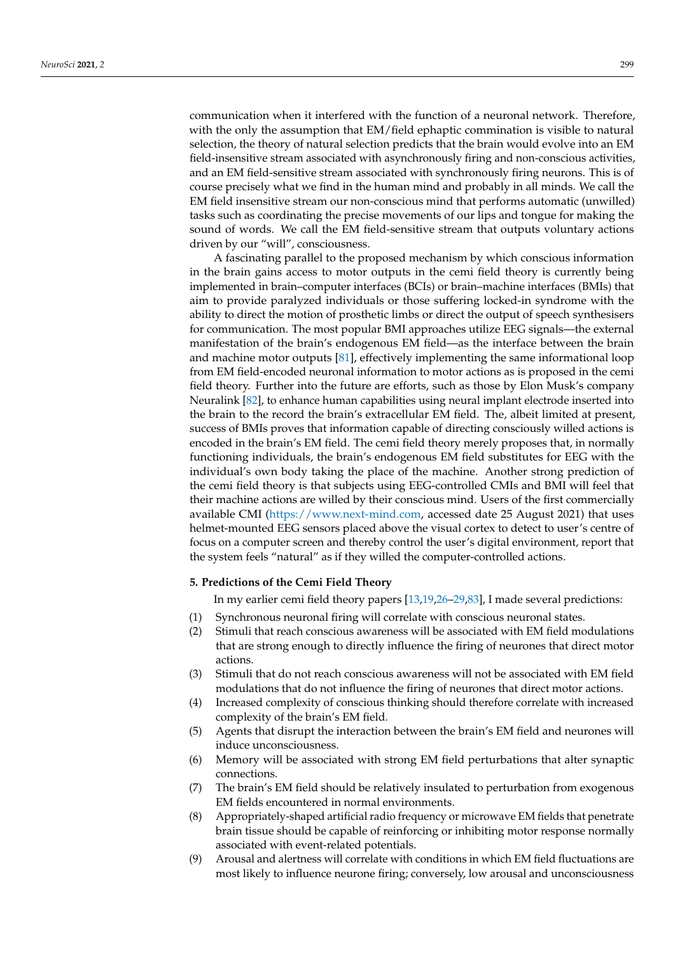communication when it interfered with the function of a neuronal network. Therefore, with the only the assumption that EM/field ephaptic commination is visible to natural selection, the theory of natural selection predicts that the brain would evolve into an EM field-insensitive stream associated with asynchronously firing and non-conscious activities, and an EM field-sensitive stream associated with synchronously firing neurons. This is of course precisely what we find in the human mind and probably in all minds. We call the EM field insensitive stream our non-conscious mind that performs automatic (unwilled) tasks such as coordinating the precise movements of our lips and tongue for making the sound of words. We call the EM field-sensitive stream that outputs voluntary actions driven by our "will", consciousness.

A fascinating parallel to the proposed mechanism by which conscious information in the brain gains access to motor outputs in the cemi field theory is currently being implemented in brain–computer interfaces (BCIs) or brain–machine interfaces (BMIs) that aim to provide paralyzed individuals or those suffering locked-in syndrome with the ability to direct the motion of prosthetic limbs or direct the output of speech synthesisers for communication. The most popular BMI approaches utilize EEG signals—the external manifestation of the brain's endogenous EM field—as the interface between the brain and machine motor outputs [\[81\]](#page-13-20), effectively implementing the same informational loop from EM field-encoded neuronal information to motor actions as is proposed in the cemi field theory. Further into the future are efforts, such as those by Elon Musk's company Neuralink [\[82\]](#page-13-21), to enhance human capabilities using neural implant electrode inserted into the brain to the record the brain's extracellular EM field. The, albeit limited at present, success of BMIs proves that information capable of directing consciously willed actions is encoded in the brain's EM field. The cemi field theory merely proposes that, in normally functioning individuals, the brain's endogenous EM field substitutes for EEG with the individual's own body taking the place of the machine. Another strong prediction of the cemi field theory is that subjects using EEG-controlled CMIs and BMI will feel that their machine actions are willed by their conscious mind. Users of the first commercially available CMI [\(https://www.next-mind.com,](https://www.next-mind.com) accessed date 25 August 2021) that uses helmet-mounted EEG sensors placed above the visual cortex to detect to user's centre of focus on a computer screen and thereby control the user's digital environment, report that the system feels "natural" as if they willed the computer-controlled actions.

# **5. Predictions of the Cemi Field Theory**

In my earlier cemi field theory papers [\[13,](#page-11-11)[19,](#page-11-17)[26](#page-12-5)[–29,](#page-12-8)[83\]](#page-13-22), I made several predictions:

- (1) Synchronous neuronal firing will correlate with conscious neuronal states.
- (2) Stimuli that reach conscious awareness will be associated with EM field modulations that are strong enough to directly influence the firing of neurones that direct motor actions.
- (3) Stimuli that do not reach conscious awareness will not be associated with EM field modulations that do not influence the firing of neurones that direct motor actions.
- (4) Increased complexity of conscious thinking should therefore correlate with increased complexity of the brain's EM field.
- (5) Agents that disrupt the interaction between the brain's EM field and neurones will induce unconsciousness.
- (6) Memory will be associated with strong EM field perturbations that alter synaptic connections.
- (7) The brain's EM field should be relatively insulated to perturbation from exogenous EM fields encountered in normal environments.
- (8) Appropriately-shaped artificial radio frequency or microwave EM fields that penetrate brain tissue should be capable of reinforcing or inhibiting motor response normally associated with event-related potentials.
- (9) Arousal and alertness will correlate with conditions in which EM field fluctuations are most likely to influence neurone firing; conversely, low arousal and unconsciousness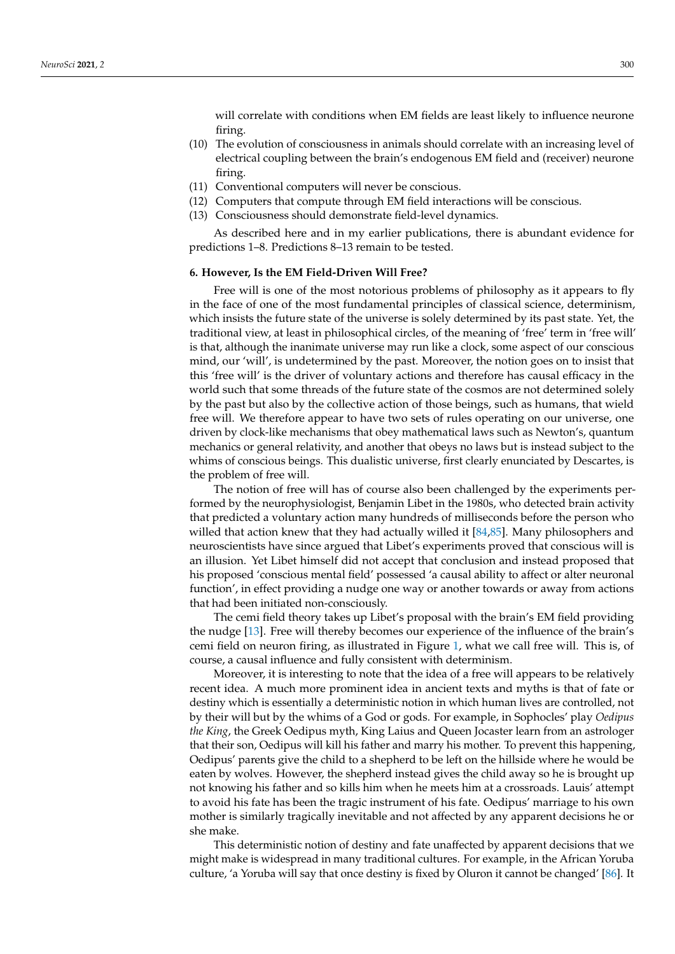will correlate with conditions when EM fields are least likely to influence neurone firing.

- (10) The evolution of consciousness in animals should correlate with an increasing level of electrical coupling between the brain's endogenous EM field and (receiver) neurone firing.
- (11) Conventional computers will never be conscious.
- (12) Computers that compute through EM field interactions will be conscious.
- (13) Consciousness should demonstrate field-level dynamics.

As described here and in my earlier publications, there is abundant evidence for predictions 1–8. Predictions 8–13 remain to be tested.

#### **6. However, Is the EM Field-Driven Will Free?**

Free will is one of the most notorious problems of philosophy as it appears to fly in the face of one of the most fundamental principles of classical science, determinism, which insists the future state of the universe is solely determined by its past state. Yet, the traditional view, at least in philosophical circles, of the meaning of 'free' term in 'free will' is that, although the inanimate universe may run like a clock, some aspect of our conscious mind, our 'will', is undetermined by the past. Moreover, the notion goes on to insist that this 'free will' is the driver of voluntary actions and therefore has causal efficacy in the world such that some threads of the future state of the cosmos are not determined solely by the past but also by the collective action of those beings, such as humans, that wield free will. We therefore appear to have two sets of rules operating on our universe, one driven by clock-like mechanisms that obey mathematical laws such as Newton's, quantum mechanics or general relativity, and another that obeys no laws but is instead subject to the whims of conscious beings. This dualistic universe, first clearly enunciated by Descartes, is the problem of free will.

The notion of free will has of course also been challenged by the experiments performed by the neurophysiologist, Benjamin Libet in the 1980s, who detected brain activity that predicted a voluntary action many hundreds of milliseconds before the person who willed that action knew that they had actually willed it [\[84](#page-13-23)[,85\]](#page-13-24). Many philosophers and neuroscientists have since argued that Libet's experiments proved that conscious will is an illusion. Yet Libet himself did not accept that conclusion and instead proposed that his proposed 'conscious mental field' possessed 'a causal ability to affect or alter neuronal function', in effect providing a nudge one way or another towards or away from actions that had been initiated non-consciously.

The cemi field theory takes up Libet's proposal with the brain's EM field providing the nudge [\[13\]](#page-11-11). Free will thereby becomes our experience of the influence of the brain's cemi field on neuron firing, as illustrated in Figure [1,](#page-3-0) what we call free will. This is, of course, a causal influence and fully consistent with determinism.

Moreover, it is interesting to note that the idea of a free will appears to be relatively recent idea. A much more prominent idea in ancient texts and myths is that of fate or destiny which is essentially a deterministic notion in which human lives are controlled, not by their will but by the whims of a God or gods. For example, in Sophocles' play *Oedipus the King*, the Greek Oedipus myth, King Laius and Queen Jocaster learn from an astrologer that their son, Oedipus will kill his father and marry his mother. To prevent this happening, Oedipus' parents give the child to a shepherd to be left on the hillside where he would be eaten by wolves. However, the shepherd instead gives the child away so he is brought up not knowing his father and so kills him when he meets him at a crossroads. Lauis' attempt to avoid his fate has been the tragic instrument of his fate. Oedipus' marriage to his own mother is similarly tragically inevitable and not affected by any apparent decisions he or she make.

This deterministic notion of destiny and fate unaffected by apparent decisions that we might make is widespread in many traditional cultures. For example, in the African Yoruba culture, 'a Yoruba will say that once destiny is fixed by Oluron it cannot be changed' [\[86\]](#page-13-25). It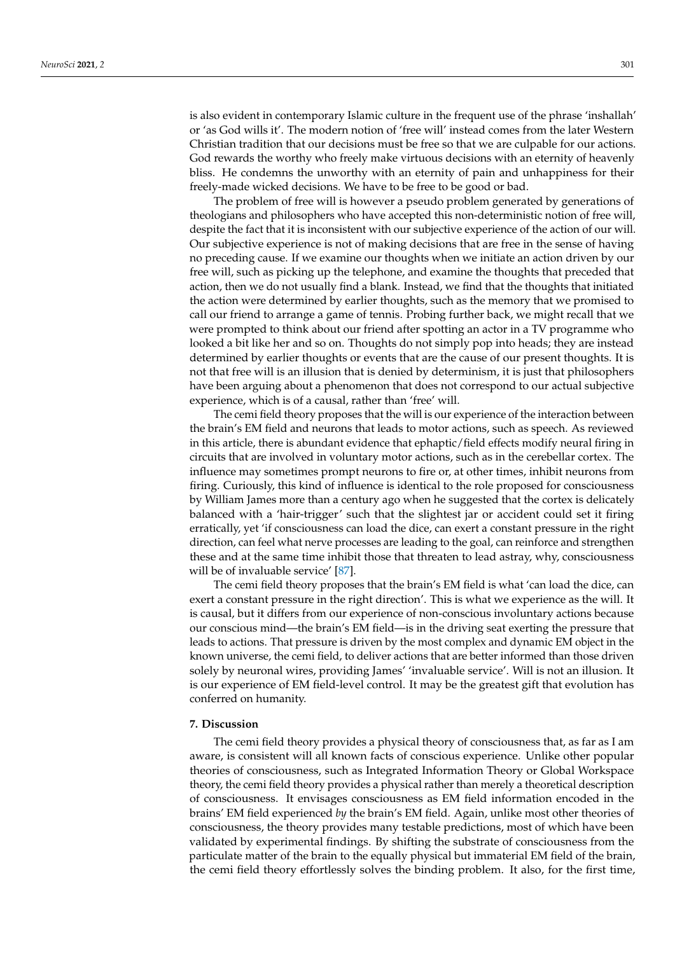is also evident in contemporary Islamic culture in the frequent use of the phrase 'inshallah' or 'as God wills it'. The modern notion of 'free will' instead comes from the later Western Christian tradition that our decisions must be free so that we are culpable for our actions. God rewards the worthy who freely make virtuous decisions with an eternity of heavenly bliss. He condemns the unworthy with an eternity of pain and unhappiness for their freely-made wicked decisions. We have to be free to be good or bad.

The problem of free will is however a pseudo problem generated by generations of theologians and philosophers who have accepted this non-deterministic notion of free will, despite the fact that it is inconsistent with our subjective experience of the action of our will. Our subjective experience is not of making decisions that are free in the sense of having no preceding cause. If we examine our thoughts when we initiate an action driven by our free will, such as picking up the telephone, and examine the thoughts that preceded that action, then we do not usually find a blank. Instead, we find that the thoughts that initiated the action were determined by earlier thoughts, such as the memory that we promised to call our friend to arrange a game of tennis. Probing further back, we might recall that we were prompted to think about our friend after spotting an actor in a TV programme who looked a bit like her and so on. Thoughts do not simply pop into heads; they are instead determined by earlier thoughts or events that are the cause of our present thoughts. It is not that free will is an illusion that is denied by determinism, it is just that philosophers have been arguing about a phenomenon that does not correspond to our actual subjective experience, which is of a causal, rather than 'free' will.

The cemi field theory proposes that the will is our experience of the interaction between the brain's EM field and neurons that leads to motor actions, such as speech. As reviewed in this article, there is abundant evidence that ephaptic/field effects modify neural firing in circuits that are involved in voluntary motor actions, such as in the cerebellar cortex. The influence may sometimes prompt neurons to fire or, at other times, inhibit neurons from firing. Curiously, this kind of influence is identical to the role proposed for consciousness by William James more than a century ago when he suggested that the cortex is delicately balanced with a 'hair-trigger' such that the slightest jar or accident could set it firing erratically, yet 'if consciousness can load the dice, can exert a constant pressure in the right direction, can feel what nerve processes are leading to the goal, can reinforce and strengthen these and at the same time inhibit those that threaten to lead astray, why, consciousness will be of invaluable service' [\[87\]](#page-13-26).

The cemi field theory proposes that the brain's EM field is what 'can load the dice, can exert a constant pressure in the right direction'. This is what we experience as the will. It is causal, but it differs from our experience of non-conscious involuntary actions because our conscious mind—the brain's EM field—is in the driving seat exerting the pressure that leads to actions. That pressure is driven by the most complex and dynamic EM object in the known universe, the cemi field, to deliver actions that are better informed than those driven solely by neuronal wires, providing James' 'invaluable service'. Will is not an illusion. It is our experience of EM field-level control. It may be the greatest gift that evolution has conferred on humanity.

## **7. Discussion**

The cemi field theory provides a physical theory of consciousness that, as far as I am aware, is consistent will all known facts of conscious experience. Unlike other popular theories of consciousness, such as Integrated Information Theory or Global Workspace theory, the cemi field theory provides a physical rather than merely a theoretical description of consciousness. It envisages consciousness as EM field information encoded in the brains' EM field experienced *by* the brain's EM field. Again, unlike most other theories of consciousness, the theory provides many testable predictions, most of which have been validated by experimental findings. By shifting the substrate of consciousness from the particulate matter of the brain to the equally physical but immaterial EM field of the brain, the cemi field theory effortlessly solves the binding problem. It also, for the first time,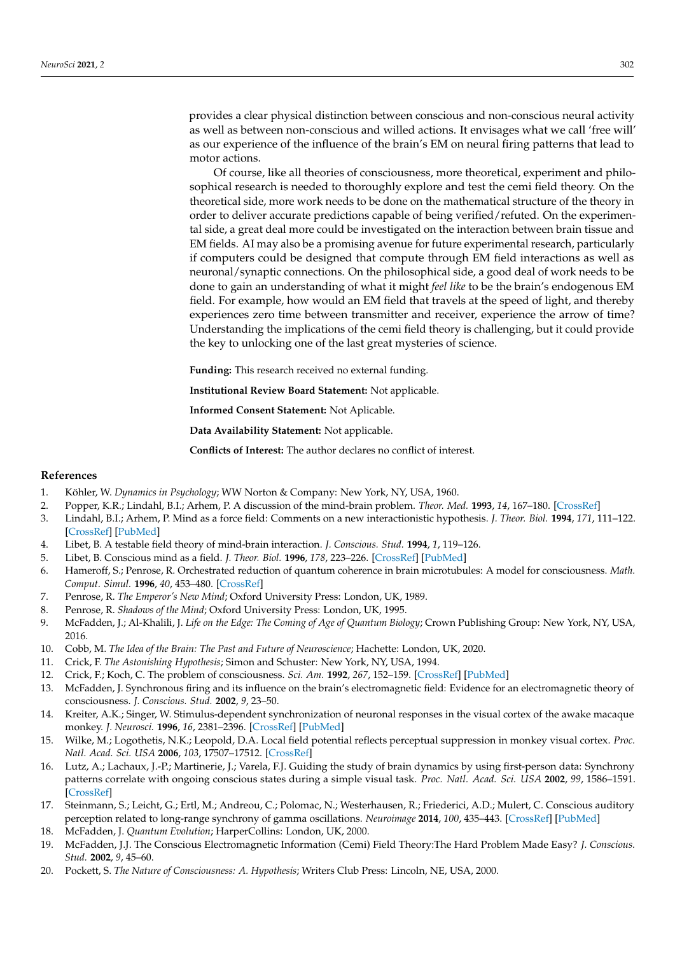provides a clear physical distinction between conscious and non-conscious neural activity as well as between non-conscious and willed actions. It envisages what we call 'free will' as our experience of the influence of the brain's EM on neural firing patterns that lead to motor actions.

Of course, like all theories of consciousness, more theoretical, experiment and philosophical research is needed to thoroughly explore and test the cemi field theory. On the theoretical side, more work needs to be done on the mathematical structure of the theory in order to deliver accurate predictions capable of being verified/refuted. On the experimental side, a great deal more could be investigated on the interaction between brain tissue and EM fields. AI may also be a promising avenue for future experimental research, particularly if computers could be designed that compute through EM field interactions as well as neuronal/synaptic connections. On the philosophical side, a good deal of work needs to be done to gain an understanding of what it might *feel like* to be the brain's endogenous EM field. For example, how would an EM field that travels at the speed of light, and thereby experiences zero time between transmitter and receiver, experience the arrow of time? Understanding the implications of the cemi field theory is challenging, but it could provide the key to unlocking one of the last great mysteries of science.

**Funding:** This research received no external funding.

**Institutional Review Board Statement:** Not applicable.

**Informed Consent Statement:** Not Aplicable.

**Data Availability Statement:** Not applicable.

**Conflicts of Interest:** The author declares no conflict of interest.

### **References**

- <span id="page-11-0"></span>1. Köhler, W. *Dynamics in Psychology*; WW Norton & Company: New York, NY, USA, 1960.
- <span id="page-11-1"></span>2. Popper, K.R.; Lindahl, B.I.; Arhem, P. A discussion of the mind-brain problem. *Theor. Med.* **1993**, *14*, 167–180. [\[CrossRef\]](http://doi.org/10.1007/BF00997274)
- <span id="page-11-2"></span>3. Lindahl, B.I.; Arhem, P. Mind as a force field: Comments on a new interactionistic hypothesis. *J. Theor. Biol.* **1994**, *171*, 111–122. [\[CrossRef\]](http://doi.org/10.1006/jtbi.1994.1217) [\[PubMed\]](http://www.ncbi.nlm.nih.gov/pubmed/7844991)
- <span id="page-11-3"></span>4. Libet, B. A testable field theory of mind-brain interaction. *J. Conscious. Stud.* **1994**, *1*, 119–126.
- <span id="page-11-4"></span>5. Libet, B. Conscious mind as a field. *J. Theor. Biol.* **1996**, *178*, 223–226. [\[CrossRef\]](http://doi.org/10.1006/jtbi.1996.0019) [\[PubMed\]](http://www.ncbi.nlm.nih.gov/pubmed/8729578)
- <span id="page-11-5"></span>6. Hameroff, S.; Penrose, R. Orchestrated reduction of quantum coherence in brain microtubules: A model for consciousness. *Math. Comput. Simul.* **1996**, *40*, 453–480. [\[CrossRef\]](http://doi.org/10.1016/0378-4754(96)80476-9)
- 7. Penrose, R. *The Emperor's New Mind*; Oxford University Press: London, UK, 1989.
- <span id="page-11-6"></span>8. Penrose, R. *Shadows of the Mind*; Oxford University Press: London, UK, 1995.
- <span id="page-11-7"></span>9. McFadden, J.; Al-Khalili, J. *Life on the Edge: The Coming of Age of Quantum Biology*; Crown Publishing Group: New York, NY, USA, 2016.
- <span id="page-11-8"></span>10. Cobb, M. *The Idea of the Brain: The Past and Future of Neuroscience*; Hachette: London, UK, 2020.
- <span id="page-11-9"></span>11. Crick, F. *The Astonishing Hypothesis*; Simon and Schuster: New York, NY, USA, 1994.
- <span id="page-11-10"></span>12. Crick, F.; Koch, C. The problem of consciousness. *Sci. Am.* **1992**, *267*, 152–159. [\[CrossRef\]](http://doi.org/10.1038/scientificamerican0992-152) [\[PubMed\]](http://www.ncbi.nlm.nih.gov/pubmed/1502517)
- <span id="page-11-11"></span>13. McFadden, J. Synchronous firing and its influence on the brain's electromagnetic field: Evidence for an electromagnetic theory of consciousness. *J. Conscious. Stud.* **2002**, *9*, 23–50.
- <span id="page-11-12"></span>14. Kreiter, A.K.; Singer, W. Stimulus-dependent synchronization of neuronal responses in the visual cortex of the awake macaque monkey. *J. Neurosci.* **1996**, *16*, 2381–2396. [\[CrossRef\]](http://doi.org/10.1523/JNEUROSCI.16-07-02381.1996) [\[PubMed\]](http://www.ncbi.nlm.nih.gov/pubmed/8601818)
- <span id="page-11-13"></span>15. Wilke, M.; Logothetis, N.K.; Leopold, D.A. Local field potential reflects perceptual suppression in monkey visual cortex. *Proc. Natl. Acad. Sci. USA* **2006**, *103*, 17507–17512. [\[CrossRef\]](http://doi.org/10.1073/pnas.0604673103)
- <span id="page-11-14"></span>16. Lutz, A.; Lachaux, J.-P.; Martinerie, J.; Varela, F.J. Guiding the study of brain dynamics by using first-person data: Synchrony patterns correlate with ongoing conscious states during a simple visual task. *Proc. Natl. Acad. Sci. USA* **2002**, *99*, 1586–1591. [\[CrossRef\]](http://doi.org/10.1073/pnas.032658199)
- <span id="page-11-15"></span>17. Steinmann, S.; Leicht, G.; Ertl, M.; Andreou, C.; Polomac, N.; Westerhausen, R.; Friederici, A.D.; Mulert, C. Conscious auditory perception related to long-range synchrony of gamma oscillations. *Neuroimage* **2014**, *100*, 435–443. [\[CrossRef\]](http://doi.org/10.1016/j.neuroimage.2014.06.012) [\[PubMed\]](http://www.ncbi.nlm.nih.gov/pubmed/24945670)
- <span id="page-11-16"></span>18. McFadden, J. *Quantum Evolution*; HarperCollins: London, UK, 2000.
- <span id="page-11-17"></span>19. McFadden, J.J. The Conscious Electromagnetic Information (Cemi) Field Theory:The Hard Problem Made Easy? *J. Conscious. Stud.* **2002**, *9*, 45–60.
- <span id="page-11-18"></span>20. Pockett, S. *The Nature of Consciousness: A. Hypothesis*; Writers Club Press: Lincoln, NE, USA, 2000.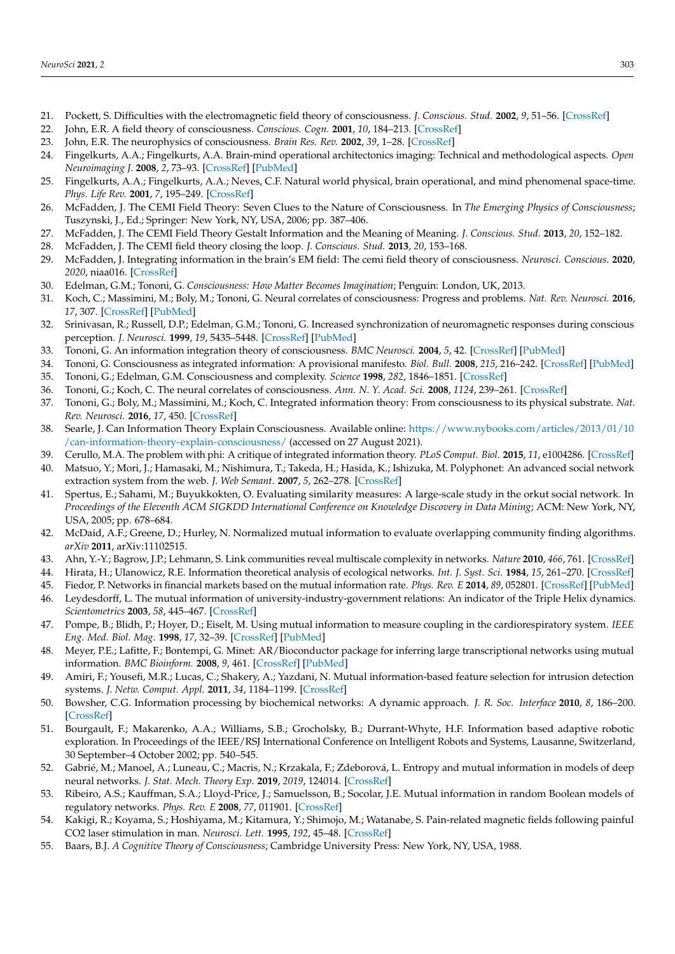- <span id="page-12-0"></span>21. Pockett, S. Difficulties with the electromagnetic field theory of consciousness. *J. Conscious. Stud.* **2002**, *9*, 51–56. [\[CrossRef\]](http://doi.org/10.14704/nq.2007.5.3.136)
- <span id="page-12-1"></span>22. John, E.R. A field theory of consciousness. *Conscious. Cogn.* **2001**, *10*, 184–213. [\[CrossRef\]](http://doi.org/10.1006/ccog.2001.0508)
- <span id="page-12-2"></span>23. John, E.R. The neurophysics of consciousness. *Brain Res. Rev.* **2002**, *39*, 1–28. [\[CrossRef\]](http://doi.org/10.1016/S0165-0173(02)00142-X)
- <span id="page-12-3"></span>24. Fingelkurts, A.A.; Fingelkurts, A.A. Brain-mind operational architectonics imaging: Technical and methodological aspects. *Open Neuroimaging J.* **2008**, *2*, 73–93. [\[CrossRef\]](http://doi.org/10.2174/1874440000802010073) [\[PubMed\]](http://www.ncbi.nlm.nih.gov/pubmed/19526071)
- <span id="page-12-4"></span>25. Fingelkurts, A.A.; Fingelkurts, A.A.; Neves, C.F. Natural world physical, brain operational, and mind phenomenal space-time. *Phys. Life Rev.* **2001**, *7*, 195–249. [\[CrossRef\]](http://doi.org/10.1016/j.plrev.2010.04.001)
- <span id="page-12-5"></span>26. McFadden, J. The CEMI Field Theory: Seven Clues to the Nature of Consciousness. In *The Emerging Physics of Consciousness*; Tuszynski, J., Ed.; Springer: New York, NY, USA, 2006; pp. 387–406.
- <span id="page-12-6"></span>27. McFadden, J. The CEMI Field Theory Gestalt Information and the Meaning of Meaning. *J. Conscious. Stud.* **2013**, *20*, 152–182.
- <span id="page-12-7"></span>28. McFadden, J. The CEMI field theory closing the loop. *J. Conscious. Stud.* **2013**, *20*, 153–168.
- <span id="page-12-8"></span>29. McFadden, J. Integrating information in the brain's EM field: The cemi field theory of consciousness. *Neurosci. Conscious.* **2020**, *2020*, niaa016. [\[CrossRef\]](http://doi.org/10.1093/nc/niaa016)
- <span id="page-12-9"></span>30. Edelman, G.M.; Tononi, G. *Consciousness: How Matter Becomes Imagination*; Penguin: London, UK, 2013.
- 31. Koch, C.; Massimini, M.; Boly, M.; Tononi, G. Neural correlates of consciousness: Progress and problems. *Nat. Rev. Neurosci.* **2016**, *17*, 307. [\[CrossRef\]](http://doi.org/10.1038/nrn.2016.22) [\[PubMed\]](http://www.ncbi.nlm.nih.gov/pubmed/27094080)
- 32. Srinivasan, R.; Russell, D.P.; Edelman, G.M.; Tononi, G. Increased synchronization of neuromagnetic responses during conscious perception. *J. Neurosci.* **1999**, *19*, 5435–5448. [\[CrossRef\]](http://doi.org/10.1523/JNEUROSCI.19-13-05435.1999) [\[PubMed\]](http://www.ncbi.nlm.nih.gov/pubmed/10377353)
- 33. Tononi, G. An information integration theory of consciousness. *BMC Neurosci.* **2004**, *5*, 42. [\[CrossRef\]](http://doi.org/10.1186/1471-2202-5-42) [\[PubMed\]](http://www.ncbi.nlm.nih.gov/pubmed/15522121)
- <span id="page-12-27"></span>34. Tononi, G. Consciousness as integrated information: A provisional manifesto. *Biol. Bull.* **2008**, *215*, 216–242. [\[CrossRef\]](http://doi.org/10.2307/25470707) [\[PubMed\]](http://www.ncbi.nlm.nih.gov/pubmed/19098144)
- 35. Tononi, G.; Edelman, G.M. Consciousness and complexity. *Science* **1998**, *282*, 1846–1851. [\[CrossRef\]](http://doi.org/10.1126/science.282.5395.1846)
- 36. Tononi, G.; Koch, C. The neural correlates of consciousness. *Ann. N. Y. Acad. Sci.* **2008**, *1124*, 239–261. [\[CrossRef\]](http://doi.org/10.1196/annals.1440.004)
- <span id="page-12-10"></span>37. Tononi, G.; Boly, M.; Massimini, M.; Koch, C. Integrated information theory: From consciousness to its physical substrate. *Nat. Rev. Neurosci.* **2016**, *17*, 450. [\[CrossRef\]](http://doi.org/10.1038/nrn.2016.44)
- <span id="page-12-11"></span>38. Searle, J. Can Information Theory Explain Consciousness. Available online: [https://www.nybooks.com/articles/2013/01/10](https://www.nybooks.com/articles/2013/01/10/can-information-theory-explain-consciousness/) [/can-information-theory-explain-consciousness/](https://www.nybooks.com/articles/2013/01/10/can-information-theory-explain-consciousness/) (accessed on 27 August 2021).
- <span id="page-12-12"></span>39. Cerullo, M.A. The problem with phi: A critique of integrated information theory. *PLoS Comput. Biol.* **2015**, *11*, e1004286. [\[CrossRef\]](http://doi.org/10.1371/journal.pcbi.1004286)
- <span id="page-12-13"></span>40. Matsuo, Y.; Mori, J.; Hamasaki, M.; Nishimura, T.; Takeda, H.; Hasida, K.; Ishizuka, M. Polyphonet: An advanced social network extraction system from the web. *J. Web Semant.* **2007**, *5*, 262–278. [\[CrossRef\]](http://doi.org/10.1016/j.websem.2007.09.002)
- <span id="page-12-14"></span>41. Spertus, E.; Sahami, M.; Buyukkokten, O. Evaluating similarity measures: A large-scale study in the orkut social network. In *Proceedings of the Eleventh ACM SIGKDD International Conference on Knowledge Discovery in Data Mining*; ACM: New York, NY, USA, 2005; pp. 678–684.
- <span id="page-12-15"></span>42. McDaid, A.F.; Greene, D.; Hurley, N. Normalized mutual information to evaluate overlapping community finding algorithms. *arXiv* **2011**, arXiv:11102515.
- <span id="page-12-16"></span>43. Ahn, Y.-Y.; Bagrow, J.P.; Lehmann, S. Link communities reveal multiscale complexity in networks. *Nature* **2010**, *466*, 761. [\[CrossRef\]](http://doi.org/10.1038/nature09182)
- <span id="page-12-17"></span>44. Hirata, H.; Ulanowicz, R.E. Information theoretical analysis of ecological networks. *Int. J. Syst. Sci.* **1984**, *15*, 261–270. [\[CrossRef\]](http://doi.org/10.1080/00207728408926559)
- <span id="page-12-18"></span>45. Fiedor, P. Networks in financial markets based on the mutual information rate. *Phys. Rev. E* **2014**, *89*, 052801. [\[CrossRef\]](http://doi.org/10.1103/PhysRevE.89.052801) [\[PubMed\]](http://www.ncbi.nlm.nih.gov/pubmed/25353838)
- <span id="page-12-19"></span>46. Leydesdorff, L. The mutual information of university-industry-government relations: An indicator of the Triple Helix dynamics. *Scientometrics* **2003**, *58*, 445–467. [\[CrossRef\]](http://doi.org/10.1023/A:1026253130577)
- <span id="page-12-20"></span>47. Pompe, B.; Blidh, P.; Hoyer, D.; Eiselt, M. Using mutual information to measure coupling in the cardiorespiratory system. *IEEE Eng. Med. Biol. Mag.* **1998**, *17*, 32–39. [\[CrossRef\]](http://doi.org/10.1109/51.731318) [\[PubMed\]](http://www.ncbi.nlm.nih.gov/pubmed/9824759)
- <span id="page-12-21"></span>48. Meyer, P.E.; Lafitte, F.; Bontempi, G. Minet: AR/Bioconductor package for inferring large transcriptional networks using mutual information. *BMC Bioinform.* **2008**, *9*, 461. [\[CrossRef\]](http://doi.org/10.1186/1471-2105-9-461) [\[PubMed\]](http://www.ncbi.nlm.nih.gov/pubmed/18959772)
- <span id="page-12-22"></span>49. Amiri, F.; Yousefi, M.R.; Lucas, C.; Shakery, A.; Yazdani, N. Mutual information-based feature selection for intrusion detection systems. *J. Netw. Comput. Appl.* **2011**, *34*, 1184–1199. [\[CrossRef\]](http://doi.org/10.1016/j.jnca.2011.01.002)
- <span id="page-12-23"></span>50. Bowsher, C.G. Information processing by biochemical networks: A dynamic approach. *J. R. Soc. Interface* **2010**, *8*, 186–200. [\[CrossRef\]](http://doi.org/10.1098/rsif.2010.0287)
- <span id="page-12-24"></span>51. Bourgault, F.; Makarenko, A.A.; Williams, S.B.; Grocholsky, B.; Durrant-Whyte, H.F. Information based adaptive robotic exploration. In Proceedings of the IEEE/RSJ International Conference on Intelligent Robots and Systems, Lausanne, Switzerland, 30 September–4 October 2002; pp. 540–545.
- <span id="page-12-25"></span>52. Gabrié, M.; Manoel, A.; Luneau, C.; Macris, N.; Krzakala, F.; Zdeborová, L. Entropy and mutual information in models of deep neural networks. *J. Stat. Mech. Theory Exp.* **2019**, *2019*, 124014. [\[CrossRef\]](http://doi.org/10.1088/1742-5468/ab3430)
- <span id="page-12-26"></span>53. Ribeiro, A.S.; Kauffman, S.A.; Lloyd-Price, J.; Samuelsson, B.; Socolar, J.E. Mutual information in random Boolean models of regulatory networks. *Phys. Rev. E* **2008**, *77*, 011901. [\[CrossRef\]](http://doi.org/10.1103/PhysRevE.77.011901)
- <span id="page-12-28"></span>54. Kakigi, R.; Koyama, S.; Hoshiyama, M.; Kitamura, Y.; Shimojo, M.; Watanabe, S. Pain-related magnetic fields following painful CO2 laser stimulation in man. *Neurosci. Lett.* **1995**, *192*, 45–48. [\[CrossRef\]](http://doi.org/10.1016/0304-3940(95)11604-U)
- <span id="page-12-29"></span>55. Baars, B.J. *A Cognitive Theory of Consciousness*; Cambridge University Press: New York, NY, USA, 1988.